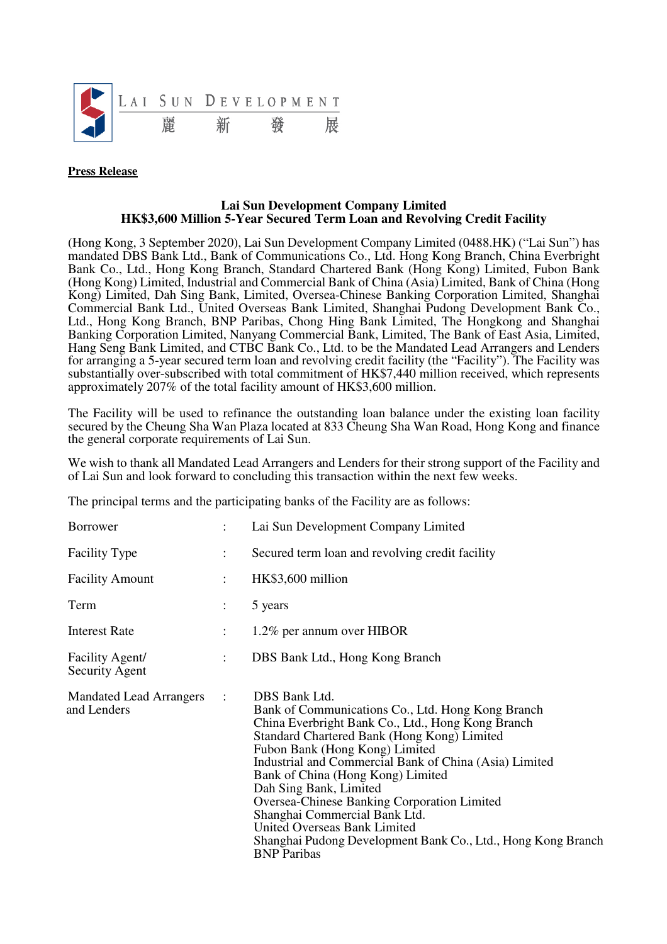

## **Press Release**

## **Lai Sun Development Company Limited HK\$3,600 Million 5-Year Secured Term Loan and Revolving Credit Facility**

(Hong Kong, 3 September 2020), Lai Sun Development Company Limited (0488.HK) ("Lai Sun") has mandated DBS Bank Ltd., Bank of Communications Co., Ltd. Hong Kong Branch, China Everbright Bank Co., Ltd., Hong Kong Branch, Standard Chartered Bank (Hong Kong) Limited, Fubon Bank (Hong Kong) Limited, Industrial and Commercial Bank of China (Asia) Limited, Bank of China (Hong Kong) Limited, Dah Sing Bank, Limited, Oversea-Chinese Banking Corporation Limited, Shanghai Commercial Bank Ltd., United Overseas Bank Limited, Shanghai Pudong Development Bank Co., Ltd., Hong Kong Branch, BNP Paribas, Chong Hing Bank Limited, The Hongkong and Shanghai Banking Corporation Limited, Nanyang Commercial Bank, Limited, The Bank of East Asia, Limited, Hang Seng Bank Limited, and CTBC Bank Co., Ltd. to be the Mandated Lead Arrangers and Lenders for arranging a 5-year secured term loan and revolving credit facility (the "Facility"). The Facility was substantially over-subscribed with total commitment of HK\$7,440 million received, which represents approximately 207% of the total facility amount of HK\$3,600 million.

The Facility will be used to refinance the outstanding loan balance under the existing loan facility secured by the Cheung Sha Wan Plaza located at 833 Cheung Sha Wan Road, Hong Kong and finance the general corporate requirements of Lai Sun.

We wish to thank all Mandated Lead Arrangers and Lenders for their strong support of the Facility and of Lai Sun and look forward to concluding this transaction within the next few weeks.

The principal terms and the participating banks of the Facility are as follows:

| <b>Borrower</b>                               |                | Lai Sun Development Company Limited                                                                                                                                                                                                                                                                                                                                                                                                                                                                                                                   |
|-----------------------------------------------|----------------|-------------------------------------------------------------------------------------------------------------------------------------------------------------------------------------------------------------------------------------------------------------------------------------------------------------------------------------------------------------------------------------------------------------------------------------------------------------------------------------------------------------------------------------------------------|
| <b>Facility Type</b>                          | $\ddot{\cdot}$ | Secured term loan and revolving credit facility                                                                                                                                                                                                                                                                                                                                                                                                                                                                                                       |
| <b>Facility Amount</b>                        |                | HK\$3,600 million                                                                                                                                                                                                                                                                                                                                                                                                                                                                                                                                     |
| Term                                          | $\ddot{\cdot}$ | 5 years                                                                                                                                                                                                                                                                                                                                                                                                                                                                                                                                               |
| <b>Interest Rate</b>                          | $\ddot{\cdot}$ | 1.2% per annum over HIBOR                                                                                                                                                                                                                                                                                                                                                                                                                                                                                                                             |
| Facility Agent/<br><b>Security Agent</b>      | $\ddot{\cdot}$ | DBS Bank Ltd., Hong Kong Branch                                                                                                                                                                                                                                                                                                                                                                                                                                                                                                                       |
| <b>Mandated Lead Arrangers</b><br>and Lenders | $\ddot{\cdot}$ | DBS Bank Ltd.<br>Bank of Communications Co., Ltd. Hong Kong Branch<br>China Everbright Bank Co., Ltd., Hong Kong Branch<br>Standard Chartered Bank (Hong Kong) Limited<br>Fubon Bank (Hong Kong) Limited<br>Industrial and Commercial Bank of China (Asia) Limited<br>Bank of China (Hong Kong) Limited<br>Dah Sing Bank, Limited<br><b>Oversea-Chinese Banking Corporation Limited</b><br>Shanghai Commercial Bank Ltd.<br><b>United Overseas Bank Limited</b><br>Shanghai Pudong Development Bank Co., Ltd., Hong Kong Branch<br><b>BNP</b> Paribas |